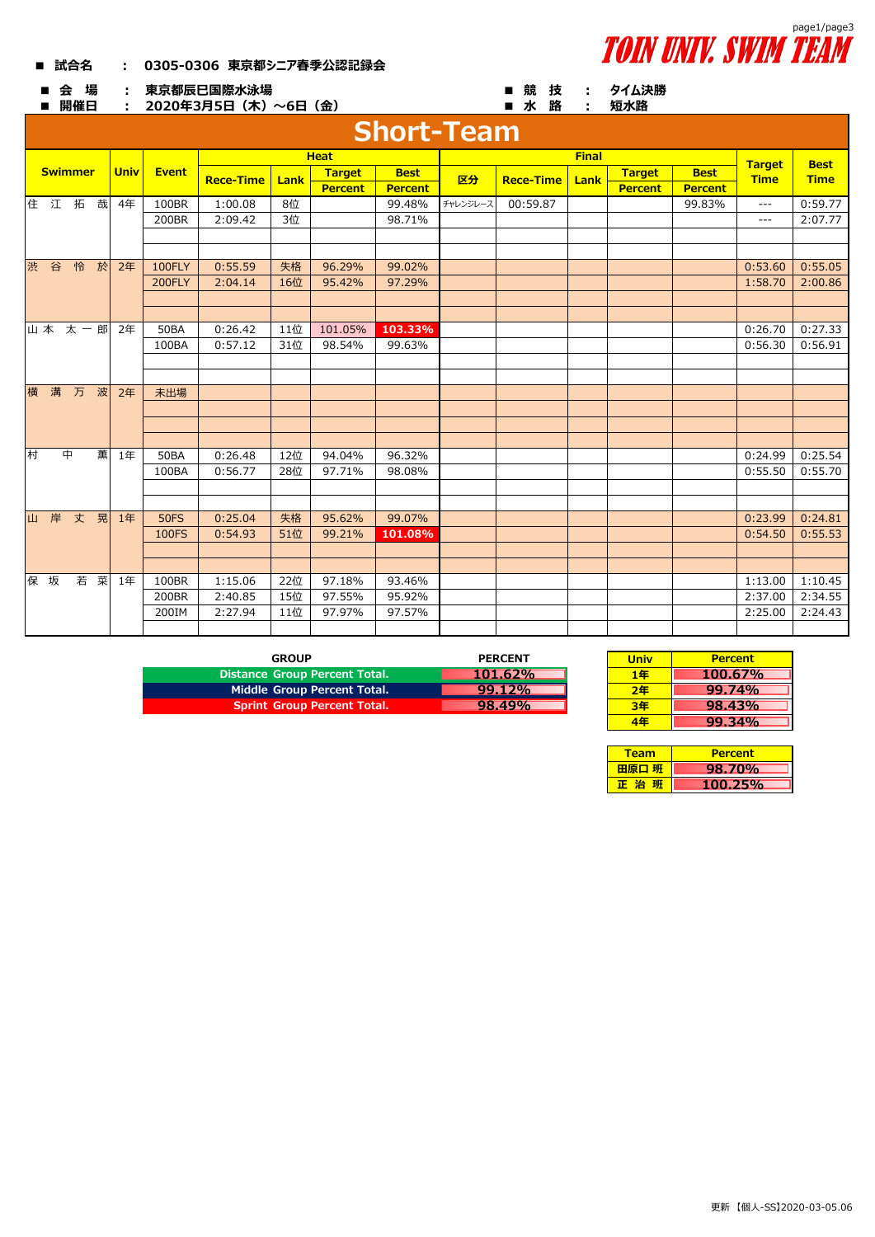## **■ 試合名 : 0305-0306 東京都シニア春季公認記録会**





|   | 会<br>■            | 場<br>開催日 |             |              |                  | 東京都辰巳国際水泳場<br>2020年3月5日 (木) ~6日 (金) |                |                |         |                  | ■ 競<br>技<br>■水路 | ÷              | タイム決勝<br>短水路   |             |             |         |
|---|-------------------|----------|-------------|--------------|------------------|-------------------------------------|----------------|----------------|---------|------------------|-----------------|----------------|----------------|-------------|-------------|---------|
|   | <b>Short-Team</b> |          |             |              |                  |                                     |                |                |         |                  |                 |                |                |             |             |         |
|   |                   |          |             | <b>Heat</b>  |                  |                                     |                |                |         | <b>Final</b>     |                 |                | <b>Target</b>  | <b>Best</b> |             |         |
|   | <b>Swimmer</b>    |          | <b>Univ</b> | <b>Event</b> | <b>Rece-Time</b> | Lank                                | <b>Target</b>  | <b>Best</b>    | 区分      | <b>Rece-Time</b> | Lank            | <b>Target</b>  | <b>Best</b>    | <b>Time</b> | <b>Time</b> |         |
|   |                   |          |             |              |                  |                                     | <b>Percent</b> | <b>Percent</b> |         |                  |                 | <b>Percent</b> | <b>Percent</b> |             |             |         |
|   | 住江拓               |          | 哉           | 4年           | 100BR            | 1:00.08                             | 8位             |                | 99.48%  | チャレンジレース         | 00:59.87        |                |                | 99.83%      | $- - -$     | 0:59.77 |
|   |                   |          |             |              | 200BR            | 2:09.42                             | 3位             |                | 98.71%  |                  |                 |                |                |             | $---$       | 2:07.77 |
|   |                   |          |             |              |                  |                                     |                |                |         |                  |                 |                |                |             |             |         |
|   |                   |          |             |              |                  |                                     |                |                |         |                  |                 |                |                |             |             |         |
|   | 渋 谷               | 怜        | 於           | 2年           | 100FLY           | 0:55.59                             | 失格             | 96.29%         | 99.02%  |                  |                 |                |                |             | 0:53.60     | 0:55.05 |
|   |                   |          |             |              | 200FLY           | 2:04.14                             | 16位            | 95.42%         | 97.29%  |                  |                 |                |                |             | 1:58.70     | 2:00.86 |
|   |                   |          |             |              |                  |                                     |                |                |         |                  |                 |                |                |             |             |         |
|   |                   |          |             |              |                  |                                     |                |                |         |                  |                 |                |                |             |             |         |
|   | 山本太一郎             |          |             | 2年           | <b>50BA</b>      | 0:26.42                             | 11位            | 101.05%        | 103.33% |                  |                 |                |                |             | 0:26.70     | 0:27.33 |
|   |                   |          |             |              | 100BA            | 0:57.12                             | 31位            | 98.54%         | 99.63%  |                  |                 |                |                |             | 0:56.30     | 0:56.91 |
|   |                   |          |             |              |                  |                                     |                |                |         |                  |                 |                |                |             |             |         |
|   |                   |          |             |              |                  |                                     |                |                |         |                  |                 |                |                |             |             |         |
|   | 横 溝               | 万        | 波           | 2年           | 未出場              |                                     |                |                |         |                  |                 |                |                |             |             |         |
|   |                   |          |             |              |                  |                                     |                |                |         |                  |                 |                |                |             |             |         |
|   |                   |          |             |              |                  |                                     |                |                |         |                  |                 |                |                |             |             |         |
|   |                   |          |             |              |                  |                                     |                |                |         |                  |                 |                |                |             |             |         |
| 村 |                   | 中        | 薫           | 1年           | <b>50BA</b>      | 0:26.48                             | 12位            | 94.04%         | 96.32%  |                  |                 |                |                |             | 0:24.99     | 0:25.54 |
|   |                   |          |             |              | 100BA            | 0:56.77                             | 28位            | 97.71%         | 98.08%  |                  |                 |                |                |             | 0:55.50     | 0:55.70 |
|   |                   |          |             |              |                  |                                     |                |                |         |                  |                 |                |                |             |             |         |
|   |                   |          |             |              |                  |                                     |                |                |         |                  |                 |                |                |             |             |         |
|   | 山 岸               | 丈        | 晃           | 1年           | <b>50FS</b>      | 0:25.04                             | 失格             | 95.62%         | 99.07%  |                  |                 |                |                |             | 0:23.99     | 0:24.81 |
|   |                   |          |             |              | 100FS            | 0:54.93                             | 51位            | 99.21%         | 101.08% |                  |                 |                |                |             | 0:54.50     | 0:55.53 |
|   |                   |          |             |              |                  |                                     |                |                |         |                  |                 |                |                |             |             |         |
|   |                   |          |             |              |                  |                                     |                |                |         |                  |                 |                |                |             |             |         |
|   | 保坂                | 若 菜      |             | 1年           | 100BR            | 1:15.06                             | 22位            | 97.18%         | 93.46%  |                  |                 |                |                |             | 1:13.00     | 1:10.45 |
|   |                   |          |             |              | 200BR            | 2:40.85                             | 15位            | 97.55%         | 95.92%  |                  |                 |                |                |             | 2:37.00     | 2:34.55 |
|   |                   |          |             |              | 200IM            | 2:27.94                             | 11位            | 97.97%         | 97.57%  |                  |                 |                |                |             | 2:25.00     | 2:24.43 |
|   |                   |          |             |              |                  |                                     |                |                |         |                  |                 |                |                |             |             |         |

| GROUP                                | <b>PERCENT</b> | <b>Univ</b>    | <b>Percent</b> |
|--------------------------------------|----------------|----------------|----------------|
| <b>Distance Group Percent Total.</b> | 101.62%        | 1年             | 100.67%        |
| Middle Group Percent Total.          | $99.12\%$      | 2 <sup>4</sup> | 99.74%         |
| <b>Sprint Group Percent Total.</b>   | 98.49%         | 3年             | 98.43%         |

| <b>PERCENT</b> | Univ | <b>Percent</b> |
|----------------|------|----------------|
| 101.62%        | 1年   | 100.67%        |
| 99.12%         | 2年   | 99.74%         |
| 98.49%         | 3年   | 98.43%         |
|                | ١Æ   | $99.34\%$      |

| <b>Team</b> | <b>Percent</b> |
|-------------|----------------|
| 田原口 班       | <b>98.70%</b>  |
| - 18        | $100.25\%$     |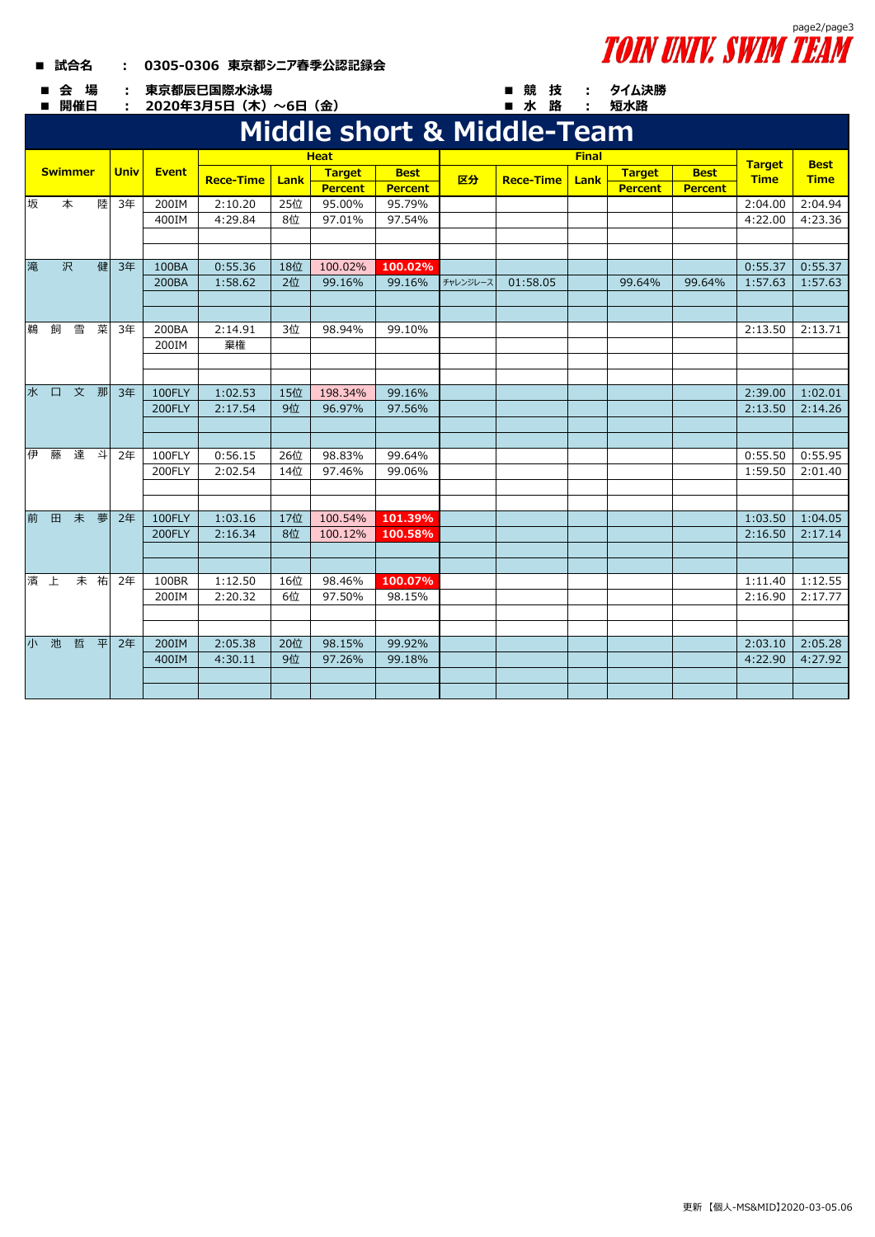## **■ 試合名 : 0305-0306 東京都シニア春季公認記録会**



**短水路**

**■ 会 場 : ■ 競 技 : 東京都辰巳国際水泳場**

■ 開催日 : 2020年3月5日(木)~6日(金) ■ 水 路 :

## **Middle short & Middle-Team**

|    | PHULL SHULL & PHULL<br><u>i cani</u> |    |    |    |               |         |     |                |                  |          |               |               |         |                  |         |               |             |             |             |
|----|--------------------------------------|----|----|----|---------------|---------|-----|----------------|------------------|----------|---------------|---------------|---------|------------------|---------|---------------|-------------|-------------|-------------|
|    |                                      |    |    |    |               |         |     | <b>Heat</b>    |                  |          |               | <b>Target</b> |         |                  |         |               |             |             |             |
|    | <b>Swimmer</b>                       |    |    |    | <b>Univ</b>   |         |     | Event          | <b>Rece-Time</b> | Lank     | <b>Target</b> | <b>Best</b>   | 区分      | <b>Rece-Time</b> | Lank    | <b>Target</b> | <b>Best</b> | <b>Time</b> | <b>Best</b> |
|    |                                      |    |    |    |               |         |     | <b>Percent</b> | Percent          |          |               |               | Percent | <b>Percent</b>   |         | <b>Time</b>   |             |             |             |
| 坂  |                                      | 本  | 陸  | 3年 | 200IM         | 2:10.20 | 25位 | 95.00%         | 95.79%           |          |               |               |         |                  | 2:04.00 | 2:04.94       |             |             |             |
|    |                                      |    |    |    | 400IM         | 4:29.84 | 8位  | 97.01%         | 97.54%           |          |               |               |         |                  | 4:22.00 | 4:23.36       |             |             |             |
|    |                                      |    |    |    |               |         |     |                |                  |          |               |               |         |                  |         |               |             |             |             |
|    |                                      |    |    |    |               |         |     |                |                  |          |               |               |         |                  |         |               |             |             |             |
| 滝  |                                      | 沢  | 健  | 3年 | 100BA         | 0:55.36 | 18位 | 100.02%        | 100.02%          |          |               |               |         |                  | 0:55.37 | 0:55.37       |             |             |             |
|    |                                      |    |    |    | 200BA         | 1:58.62 | 2位  | 99.16%         | 99.16%           | チャレンジレース | 01:58.05      |               | 99.64%  | 99.64%           | 1:57.63 | 1:57.63       |             |             |             |
|    |                                      |    |    |    |               |         |     |                |                  |          |               |               |         |                  |         |               |             |             |             |
|    |                                      |    |    |    |               |         |     |                |                  |          |               |               |         |                  |         |               |             |             |             |
| 鵜  | 飼                                    | 雪  | 菜  | 3年 | 200BA         | 2:14.91 | 3位  | 98.94%         | 99.10%           |          |               |               |         |                  | 2:13.50 | 2:13.71       |             |             |             |
|    |                                      |    |    |    | 200IM         | 棄権      |     |                |                  |          |               |               |         |                  |         |               |             |             |             |
|    |                                      |    |    |    |               |         |     |                |                  |          |               |               |         |                  |         |               |             |             |             |
|    |                                      |    |    |    |               |         |     |                |                  |          |               |               |         |                  |         |               |             |             |             |
|    | 水口                                   | 文那 |    | 3年 | 100FLY        | 1:02.53 | 15位 | 198.34%        | 99.16%           |          |               |               |         |                  | 2:39.00 | 1:02.01       |             |             |             |
|    |                                      |    |    |    | <b>200FLY</b> | 2:17.54 | 9位  | 96.97%         | 97.56%           |          |               |               |         |                  | 2:13.50 | 2:14.26       |             |             |             |
|    |                                      |    |    |    |               |         |     |                |                  |          |               |               |         |                  |         |               |             |             |             |
|    |                                      |    |    |    |               |         |     |                |                  |          |               |               |         |                  |         |               |             |             |             |
| 伊  | 藤                                    | 達  | 斗  | 2年 | 100FLY        | 0:56.15 | 26位 | 98.83%         | 99.64%           |          |               |               |         |                  | 0:55.50 | 0:55.95       |             |             |             |
|    |                                      |    |    |    | 200FLY        | 2:02.54 | 14位 | 97.46%         | 99.06%           |          |               |               |         |                  | 1:59.50 | 2:01.40       |             |             |             |
|    |                                      |    |    |    |               |         |     |                |                  |          |               |               |         |                  |         |               |             |             |             |
|    |                                      |    |    |    |               |         |     |                |                  |          |               |               |         |                  |         |               |             |             |             |
|    | 前 田                                  | 未  | 夢  | 2年 | 100FLY        | 1:03.16 | 17位 | 100.54%        | 101.39%          |          |               |               |         |                  | 1:03.50 | 1:04.05       |             |             |             |
|    |                                      |    |    |    | 200FLY        | 2:16.34 | 8位  | 100.12%        | 100.58%          |          |               |               |         |                  | 2:16.50 | 2:17.14       |             |             |             |
|    |                                      |    |    |    |               |         |     |                |                  |          |               |               |         |                  |         |               |             |             |             |
|    |                                      |    |    |    |               |         |     |                |                  |          |               |               |         |                  |         |               |             |             |             |
| 濱上 |                                      |    | 未祐 | 2年 | 100BR         | 1:12.50 | 16位 | 98.46%         | 100.07%          |          |               |               |         |                  | 1:11.40 | 1:12.55       |             |             |             |
|    |                                      |    |    |    | 200IM         | 2:20.32 | 6位  | 97.50%         | 98.15%           |          |               |               |         |                  | 2:16.90 | 2:17.77       |             |             |             |
|    |                                      |    |    |    |               |         |     |                |                  |          |               |               |         |                  |         |               |             |             |             |
|    |                                      |    |    |    |               |         |     |                |                  |          |               |               |         |                  |         |               |             |             |             |
|    | 小池                                   | 哲  | 平  | 2年 | 200IM         | 2:05.38 | 20位 | 98.15%         | 99.92%           |          |               |               |         |                  | 2:03.10 | 2:05.28       |             |             |             |
|    |                                      |    |    |    | 400IM         | 4:30.11 | 9位  | 97.26%         | 99.18%           |          |               |               |         |                  | 4:22.90 | 4:27.92       |             |             |             |
|    |                                      |    |    |    |               |         |     |                |                  |          |               |               |         |                  |         |               |             |             |             |
|    |                                      |    |    |    |               |         |     |                |                  |          |               |               |         |                  |         |               |             |             |             |